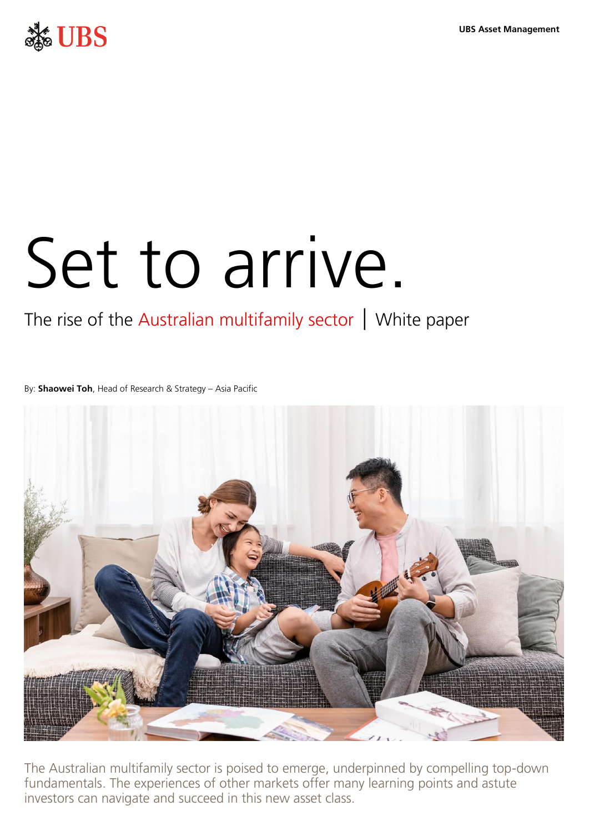**UBS Asset Management** 



# Set to arrive.

### The rise of the Australian multifamily sector  $\vert$  White paper

By: **Shaowei Toh**, Head of Research & Strategy – Asia Pacific



The Australian multifamily sector is poised to emerge, underpinned by compelling top-down fundamentals. The experiences of other markets offer many learning points and astute investors can navigate and succeed in this new asset class.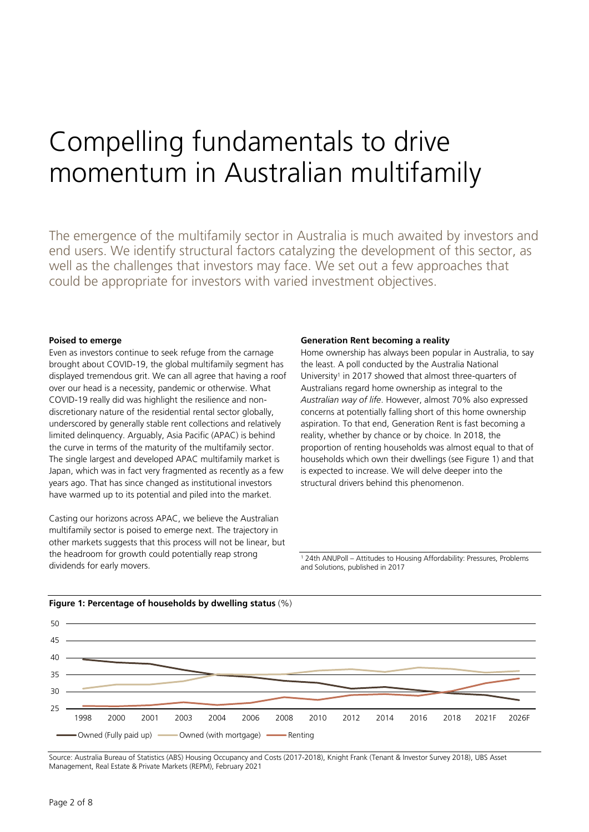## Compelling fundamentals to drive momentum in Australian multifamily

The emergence of the multifamily sector in Australia is much awaited by investors and end users. We identify structural factors catalyzing the development of this sector, as well as the challenges that investors may face. We set out a few approaches that could be appropriate for investors with varied investment objectives.

#### **Poised to emerge**

Even as investors continue to seek refuge from the carnage brought about COVID-19, the global multifamily segment has displayed tremendous grit. We can all agree that having a roof over our head is a necessity, pandemic or otherwise. What COVID-19 really did was highlight the resilience and nondiscretionary nature of the residential rental sector globally, underscored by generally stable rent collections and relatively limited delinquency. Arguably, Asia Pacific (APAC) is behind the curve in terms of the maturity of the multifamily sector. The single largest and developed APAC multifamily market is Japan, which was in fact very fragmented as recently as a few years ago. That has since changed as institutional investors have warmed up to its potential and piled into the market.

Casting our horizons across APAC, we believe the Australian multifamily sector is poised to emerge next. The trajectory in other markets suggests that this process will not be linear, but the headroom for growth could potentially reap strong dividends for early movers.

#### **Generation Rent becoming a reality**

Home ownership has always been popular in Australia, to say the least. A poll conducted by the Australia National University<sup>1</sup> in 2017 showed that almost three-quarters of Australians regard home ownership as integral to the *Australian way of life*. However, almost 70% also expressed concerns at potentially falling short of this home ownership aspiration. To that end, Generation Rent is fast becoming a reality, whether by chance or by choice. In 2018, the proportion of renting households was almost equal to that of households which own their dwellings (see Figure 1) and that is expected to increase. We will delve deeper into the structural drivers behind this phenomenon.

1 24th ANUPoll – Attitudes to Housing Affordability: Pressures, Problems and Solutions, published in 2017



#### **Figure 1: Percentage of households by dwelling status** (%)

Source: Australia Bureau of Statistics (ABS) Housing Occupancy and Costs (2017-2018), Knight Frank (Tenant & Investor Survey 2018), UBS Asset Management, Real Estate & Private Markets (REPM), February 2021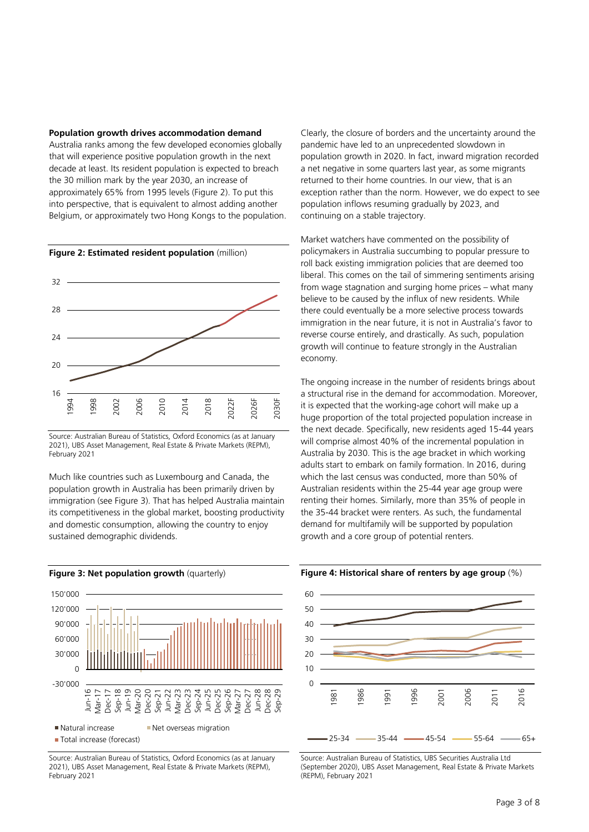#### **Population growth drives accommodation demand**

Australia ranks among the few developed economies globally that will experience positive population growth in the next decade at least. Its resident population is expected to breach the 30 million mark by the year 2030, an increase of approximately 65% from 1995 levels (Figure 2). To put this into perspective, that is equivalent to almost adding another Belgium, or approximately two Hong Kongs to the population.



**Figure 2: Estimated resident population** (million)

Much like countries such as Luxembourg and Canada, the population growth in Australia has been primarily driven by immigration (see Figure 3). That has helped Australia maintain its competitiveness in the global market, boosting productivity and domestic consumption, allowing the country to enjoy sustained demographic dividends.



Source: Australian Bureau of Statistics, Oxford Economics (as at January 2021), UBS Asset Management, Real Estate & Private Markets (REPM), February 2021

Clearly, the closure of borders and the uncertainty around the pandemic have led to an unprecedented slowdown in population growth in 2020. In fact, inward migration recorded a net negative in some quarters last year, as some migrants returned to their home countries. In our view, that is an exception rather than the norm. However, we do expect to see population inflows resuming gradually by 2023, and continuing on a stable trajectory.

Market watchers have commented on the possibility of policymakers in Australia succumbing to popular pressure to roll back existing immigration policies that are deemed too liberal. This comes on the tail of simmering sentiments arising from wage stagnation and surging home prices – what many believe to be caused by the influx of new residents. While there could eventually be a more selective process towards immigration in the near future, it is not in Australia's favor to reverse course entirely, and drastically. As such, population growth will continue to feature strongly in the Australian economy.

The ongoing increase in the number of residents brings about a structural rise in the demand for accommodation. Moreover, it is expected that the working-age cohort will make up a huge proportion of the total projected population increase in the next decade. Specifically, new residents aged 15-44 years will comprise almost 40% of the incremental population in Australia by 2030. This is the age bracket in which working adults start to embark on family formation. In 2016, during which the last census was conducted, more than 50% of Australian residents within the 25-44 year age group were renting their homes. Similarly, more than 35% of people in the 35-44 bracket were renters. As such, the fundamental demand for multifamily will be supported by population growth and a core group of potential renters.



Source: Australian Bureau of Statistics, UBS Securities Australia Ltd (September 2020), UBS Asset Management, Real Estate & Private Markets (REPM), February 2021

Source: Australian Bureau of Statistics, Oxford Economics (as at January 2021), UBS Asset Management, Real Estate & Private Markets (REPM), February 2021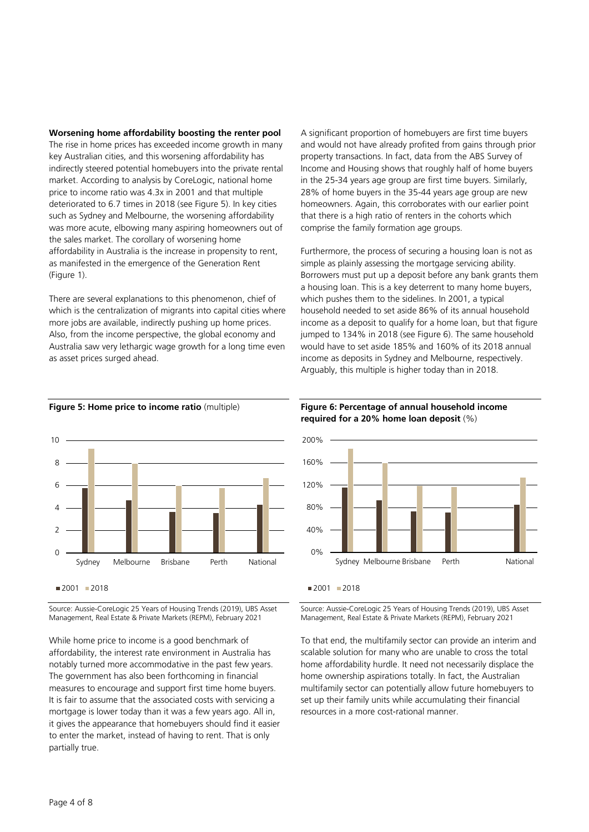#### **Worsening home affordability boosting the renter pool**

The rise in home prices has exceeded income growth in many key Australian cities, and this worsening affordability has indirectly steered potential homebuyers into the private rental market. According to analysis by CoreLogic, national home price to income ratio was 4.3x in 2001 and that multiple deteriorated to 6.7 times in 2018 (see Figure 5). In key cities such as Sydney and Melbourne, the worsening affordability was more acute, elbowing many aspiring homeowners out of the sales market. The corollary of worsening home affordability in Australia is the increase in propensity to rent, as manifested in the emergence of the Generation Rent (Figure 1).

There are several explanations to this phenomenon, chief of which is the centralization of migrants into capital cities where more jobs are available, indirectly pushing up home prices. Also, from the income perspective, the global economy and Australia saw very lethargic wage growth for a long time even as asset prices surged ahead.



Furthermore, the process of securing a housing loan is not as simple as plainly assessing the mortgage servicing ability. Borrowers must put up a deposit before any bank grants them a housing loan. This is a key deterrent to many home buyers, which pushes them to the sidelines. In 2001, a typical household needed to set aside 86% of its annual household income as a deposit to qualify for a home loan, but that figure jumped to 134% in 2018 (see Figure 6). The same household would have to set aside 185% and 160% of its 2018 annual income as deposits in Sydney and Melbourne, respectively. Arguably, this multiple is higher today than in 2018.



#### **Figure 5: Home price to income ratio** (multiple)

Source: Aussie-CoreLogic 25 Years of Housing Trends (2019), UBS Asset Management, Real Estate & Private Markets (REPM), February 2021

While home price to income is a good benchmark of affordability, the interest rate environment in Australia has notably turned more accommodative in the past few years. The government has also been forthcoming in financial measures to encourage and support first time home buyers. It is fair to assume that the associated costs with servicing a mortgage is lower today than it was a few years ago. All in, it gives the appearance that homebuyers should find it easier to enter the market, instead of having to rent. That is only partially true.

#### **Figure 6: Percentage of annual household income required for a 20% home loan deposit** (%)



 $2001 - 2018$ 

Source: Aussie-CoreLogic 25 Years of Housing Trends (2019), UBS Asset Management, Real Estate & Private Markets (REPM), February 2021

To that end, the multifamily sector can provide an interim and scalable solution for many who are unable to cross the total home affordability hurdle. It need not necessarily displace the home ownership aspirations totally. In fact, the Australian multifamily sector can potentially allow future homebuyers to set up their family units while accumulating their financial resources in a more cost-rational manner.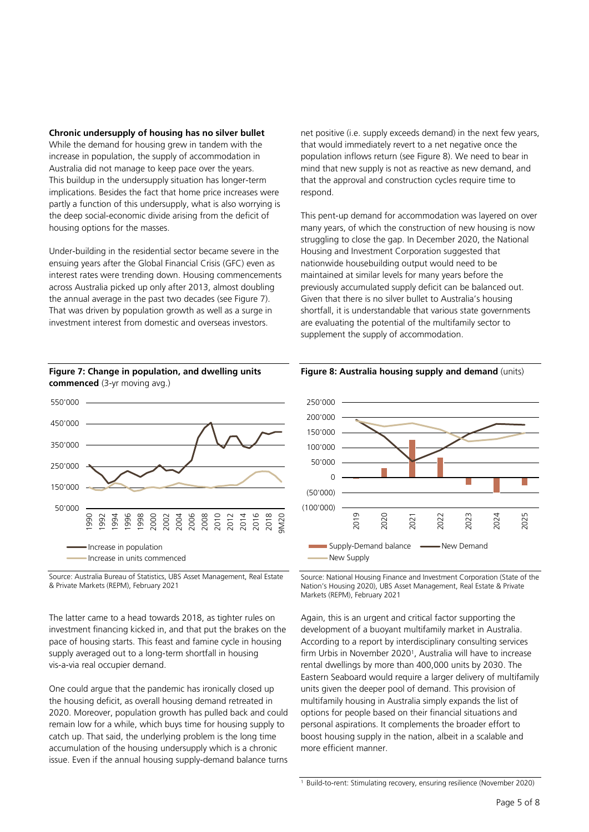#### **Chronic undersupply of housing has no silver bullet**

While the demand for housing grew in tandem with the increase in population, the supply of accommodation in Australia did not manage to keep pace over the years. This buildup in the undersupply situation has longer-term implications. Besides the fact that home price increases were partly a function of this undersupply, what is also worrying is the deep social-economic divide arising from the deficit of housing options for the masses.

Under-building in the residential sector became severe in the ensuing years after the Global Financial Crisis (GFC) even as interest rates were trending down. Housing commencements across Australia picked up only after 2013, almost doubling the annual average in the past two decades (see Figure 7). That was driven by population growth as well as a surge in investment interest from domestic and overseas investors.



**Figure 7: Change in population, and dwelling units commenced** (3-yr moving avg.)

Source: Australia Bureau of Statistics, UBS Asset Management, Real Estate & Private Markets (REPM), February 2021

The latter came to a head towards 2018, as tighter rules on investment financing kicked in, and that put the brakes on the pace of housing starts. This feast and famine cycle in housing supply averaged out to a long-term shortfall in housing vis-a-via real occupier demand.

One could argue that the pandemic has ironically closed up the housing deficit, as overall housing demand retreated in 2020. Moreover, population growth has pulled back and could remain low for a while, which buys time for housing supply to catch up. That said, the underlying problem is the long time accumulation of the housing undersupply which is a chronic issue. Even if the annual housing supply-demand balance turns net positive (i.e. supply exceeds demand) in the next few years, that would immediately revert to a net negative once the population inflows return (see Figure 8). We need to bear in mind that new supply is not as reactive as new demand, and that the approval and construction cycles require time to respond.

This pent-up demand for accommodation was layered on over many years, of which the construction of new housing is now struggling to close the gap. In December 2020, the National Housing and Investment Corporation suggested that nationwide housebuilding output would need to be maintained at similar levels for many years before the previously accumulated supply deficit can be balanced out. Given that there is no silver bullet to Australia's housing shortfall, it is understandable that various state governments are evaluating the potential of the multifamily sector to supplement the supply of accommodation.



**Figure 8: Australia housing supply and demand** (units)

Source: National Housing Finance and Investment Corporation (State of the Nation's Housing 2020), UBS Asset Management, Real Estate & Private Markets (REPM), February 2021

Again, this is an urgent and critical factor supporting the development of a buoyant multifamily market in Australia. According to a report by interdisciplinary consulting services firm Urbis in November 2020<sup>1</sup> , Australia will have to increase rental dwellings by more than 400,000 units by 2030. The Eastern Seaboard would require a larger delivery of multifamily units given the deeper pool of demand. This provision of multifamily housing in Australia simply expands the list of options for people based on their financial situations and personal aspirations. It complements the broader effort to boost housing supply in the nation, albeit in a scalable and more efficient manner.

<sup>&</sup>lt;sup>1</sup> Build-to-rent: Stimulating recovery, ensuring resilience (November 2020)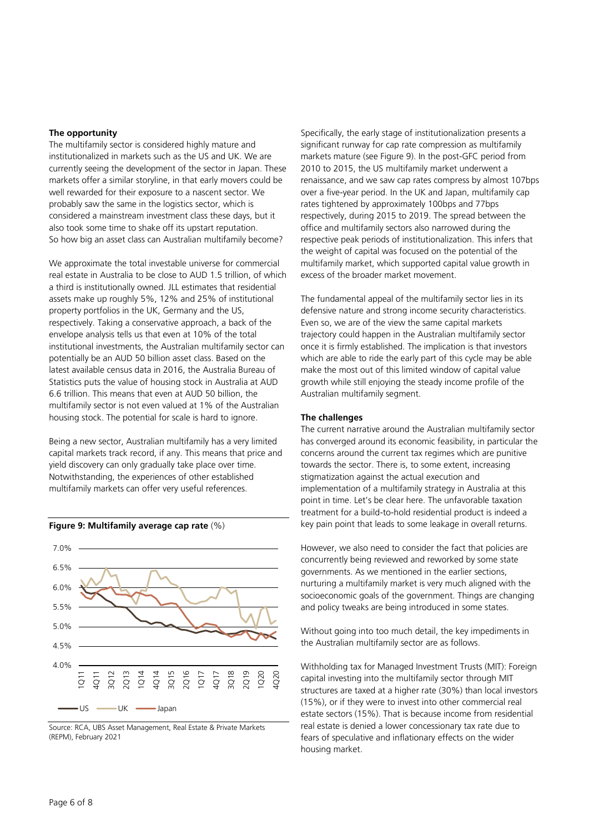#### **The opportunity**

The multifamily sector is considered highly mature and institutionalized in markets such as the US and UK. We are currently seeing the development of the sector in Japan. These markets offer a similar storyline, in that early movers could be well rewarded for their exposure to a nascent sector. We probably saw the same in the logistics sector, which is considered a mainstream investment class these days, but it also took some time to shake off its upstart reputation. So how big an asset class can Australian multifamily become?

We approximate the total investable universe for commercial real estate in Australia to be close to AUD 1.5 trillion, of which a third is institutionally owned. JLL estimates that residential assets make up roughly 5%, 12% and 25% of institutional property portfolios in the UK, Germany and the US, respectively. Taking a conservative approach, a back of the envelope analysis tells us that even at 10% of the total institutional investments, the Australian multifamily sector can potentially be an AUD 50 billion asset class. Based on the latest available census data in 2016, the Australia Bureau of Statistics puts the value of housing stock in Australia at AUD 6.6 trillion. This means that even at AUD 50 billion, the multifamily sector is not even valued at 1% of the Australian housing stock. The potential for scale is hard to ignore.

Being a new sector, Australian multifamily has a very limited capital markets track record, if any. This means that price and yield discovery can only gradually take place over time. Notwithstanding, the experiences of other established multifamily markets can offer very useful references.



Source: RCA, UBS Asset Management, Real Estate & Private Markets (REPM), February 2021

Specifically, the early stage of institutionalization presents a significant runway for cap rate compression as multifamily markets mature (see Figure 9). In the post-GFC period from 2010 to 2015, the US multifamily market underwent a renaissance, and we saw cap rates compress by almost 107bps over a five-year period. In the UK and Japan, multifamily cap rates tightened by approximately 100bps and 77bps respectively, during 2015 to 2019. The spread between the office and multifamily sectors also narrowed during the respective peak periods of institutionalization. This infers that the weight of capital was focused on the potential of the multifamily market, which supported capital value growth in excess of the broader market movement.

The fundamental appeal of the multifamily sector lies in its defensive nature and strong income security characteristics. Even so, we are of the view the same capital markets trajectory could happen in the Australian multifamily sector once it is firmly established. The implication is that investors which are able to ride the early part of this cycle may be able make the most out of this limited window of capital value growth while still enjoying the steady income profile of the Australian multifamily segment.

#### **The challenges**

The current narrative around the Australian multifamily sector has converged around its economic feasibility, in particular the concerns around the current tax regimes which are punitive towards the sector. There is, to some extent, increasing stigmatization against the actual execution and implementation of a multifamily strategy in Australia at this point in time. Let's be clear here. The unfavorable taxation treatment for a build-to-hold residential product is indeed a key pain point that leads to some leakage in overall returns.

However, we also need to consider the fact that policies are concurrently being reviewed and reworked by some state governments. As we mentioned in the earlier sections, nurturing a multifamily market is very much aligned with the socioeconomic goals of the government. Things are changing and policy tweaks are being introduced in some states.

Without going into too much detail, the key impediments in the Australian multifamily sector are as follows.

Withholding tax for Managed Investment Trusts (MIT): Foreign capital investing into the multifamily sector through MIT structures are taxed at a higher rate (30%) than local investors (15%), or if they were to invest into other commercial real estate sectors (15%). That is because income from residential real estate is denied a lower concessionary tax rate due to fears of speculative and inflationary effects on the wider housing market.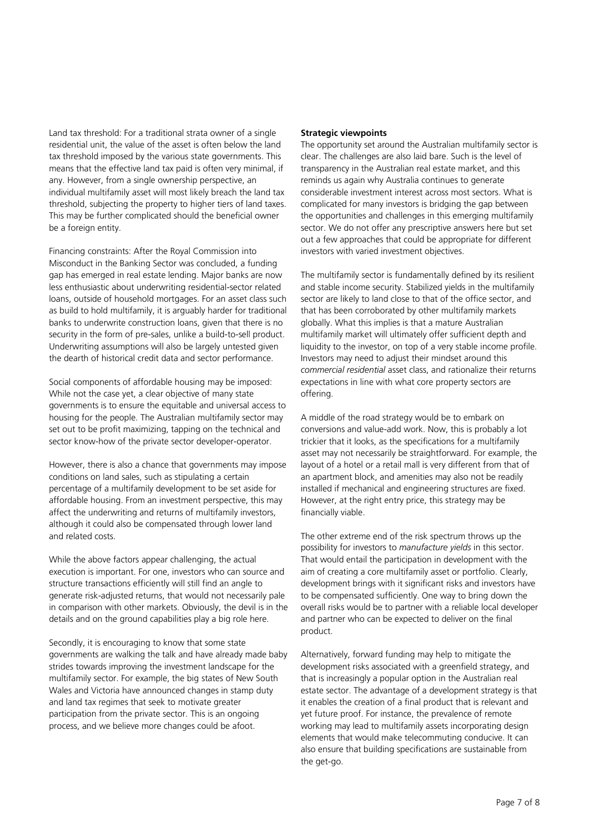Land tax threshold: For a traditional strata owner of a single residential unit, the value of the asset is often below the land tax threshold imposed by the various state governments. This means that the effective land tax paid is often very minimal, if any. However, from a single ownership perspective, an individual multifamily asset will most likely breach the land tax threshold, subjecting the property to higher tiers of land taxes. This may be further complicated should the beneficial owner be a foreign entity.

Financing constraints: After the Royal Commission into Misconduct in the Banking Sector was concluded, a funding gap has emerged in real estate lending. Major banks are now less enthusiastic about underwriting residential-sector related loans, outside of household mortgages. For an asset class such as build to hold multifamily, it is arguably harder for traditional banks to underwrite construction loans, given that there is no security in the form of pre-sales, unlike a build-to-sell product. Underwriting assumptions will also be largely untested given the dearth of historical credit data and sector performance.

Social components of affordable housing may be imposed: While not the case yet, a clear objective of many state governments is to ensure the equitable and universal access to housing for the people. The Australian multifamily sector may set out to be profit maximizing, tapping on the technical and sector know-how of the private sector developer-operator.

However, there is also a chance that governments may impose conditions on land sales, such as stipulating a certain percentage of a multifamily development to be set aside for affordable housing. From an investment perspective, this may affect the underwriting and returns of multifamily investors, although it could also be compensated through lower land and related costs.

While the above factors appear challenging, the actual execution is important. For one, investors who can source and structure transactions efficiently will still find an angle to generate risk-adjusted returns, that would not necessarily pale in comparison with other markets. Obviously, the devil is in the details and on the ground capabilities play a big role here.

Secondly, it is encouraging to know that some state governments are walking the talk and have already made baby strides towards improving the investment landscape for the multifamily sector. For example, the big states of New South Wales and Victoria have announced changes in stamp duty and land tax regimes that seek to motivate greater participation from the private sector. This is an ongoing process, and we believe more changes could be afoot.

#### **Strategic viewpoints**

The opportunity set around the Australian multifamily sector is clear. The challenges are also laid bare. Such is the level of transparency in the Australian real estate market, and this reminds us again why Australia continues to generate considerable investment interest across most sectors. What is complicated for many investors is bridging the gap between the opportunities and challenges in this emerging multifamily sector. We do not offer any prescriptive answers here but set out a few approaches that could be appropriate for different investors with varied investment objectives.

The multifamily sector is fundamentally defined by its resilient and stable income security. Stabilized yields in the multifamily sector are likely to land close to that of the office sector, and that has been corroborated by other multifamily markets globally. What this implies is that a mature Australian multifamily market will ultimately offer sufficient depth and liquidity to the investor, on top of a very stable income profile. Investors may need to adjust their mindset around this *commercial residential* asset class, and rationalize their returns expectations in line with what core property sectors are offering.

A middle of the road strategy would be to embark on conversions and value-add work. Now, this is probably a lot trickier that it looks, as the specifications for a multifamily asset may not necessarily be straightforward. For example, the layout of a hotel or a retail mall is very different from that of an apartment block, and amenities may also not be readily installed if mechanical and engineering structures are fixed. However, at the right entry price, this strategy may be financially viable.

The other extreme end of the risk spectrum throws up the possibility for investors to *manufacture yields* in this sector. That would entail the participation in development with the aim of creating a core multifamily asset or portfolio. Clearly, development brings with it significant risks and investors have to be compensated sufficiently. One way to bring down the overall risks would be to partner with a reliable local developer and partner who can be expected to deliver on the final product.

Alternatively, forward funding may help to mitigate the development risks associated with a greenfield strategy, and that is increasingly a popular option in the Australian real estate sector. The advantage of a development strategy is that it enables the creation of a final product that is relevant and yet future proof. For instance, the prevalence of remote working may lead to multifamily assets incorporating design elements that would make telecommuting conducive. It can also ensure that building specifications are sustainable from the get-go.